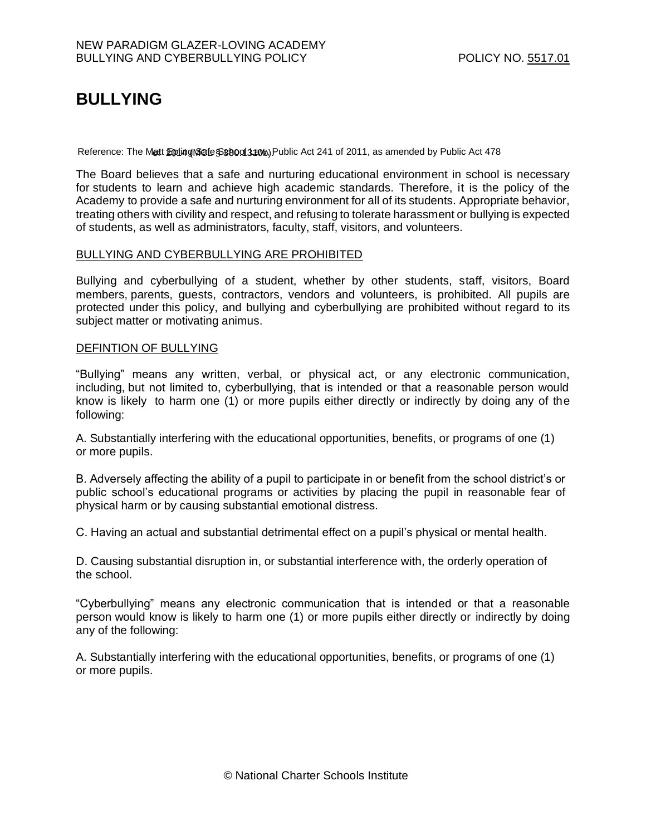# **BULLYING**

Reference: The Matt Epling & School 140%, Public Act 241 of 2011, as amended by Public Act 478

The Board believes that a safe and nurturing educational environment in school is necessary for students to learn and achieve high academic standards. Therefore, it is the policy of the Academy to provide a safe and nurturing environment for all of its students. Appropriate behavior, treating others with civility and respect, and refusing to tolerate harassment or bullying is expected of students, as well as administrators, faculty, staff, visitors, and volunteers.

### BULLYING AND CYBERBULLYING ARE PROHIBITED

Bullying and cyberbullying of a student, whether by other students, staff, visitors, Board members, parents, guests, contractors, vendors and volunteers, is prohibited. All pupils are protected under this policy, and bullying and cyberbullying are prohibited without regard to its subject matter or motivating animus.

## DEFINTION OF BULLYING

"Bullying" means any written, verbal, or physical act, or any electronic communication, including, but not limited to, cyberbullying, that is intended or that a reasonable person would know is likely to harm one (1) or more pupils either directly or indirectly by doing any of the following:

A. Substantially interfering with the educational opportunities, benefits, or programs of one (1) or more pupils.

B. Adversely affecting the ability of a pupil to participate in or benefit from the school district's or public school's educational programs or activities by placing the pupil in reasonable fear of physical harm or by causing substantial emotional distress.

C. Having an actual and substantial detrimental effect on a pupil's physical or mental health.

D. Causing substantial disruption in, or substantial interference with, the orderly operation of the school.

"Cyberbullying" means any electronic communication that is intended or that a reasonable person would know is likely to harm one (1) or more pupils either directly or indirectly by doing any of the following:

A. Substantially interfering with the educational opportunities, benefits, or programs of one (1) or more pupils.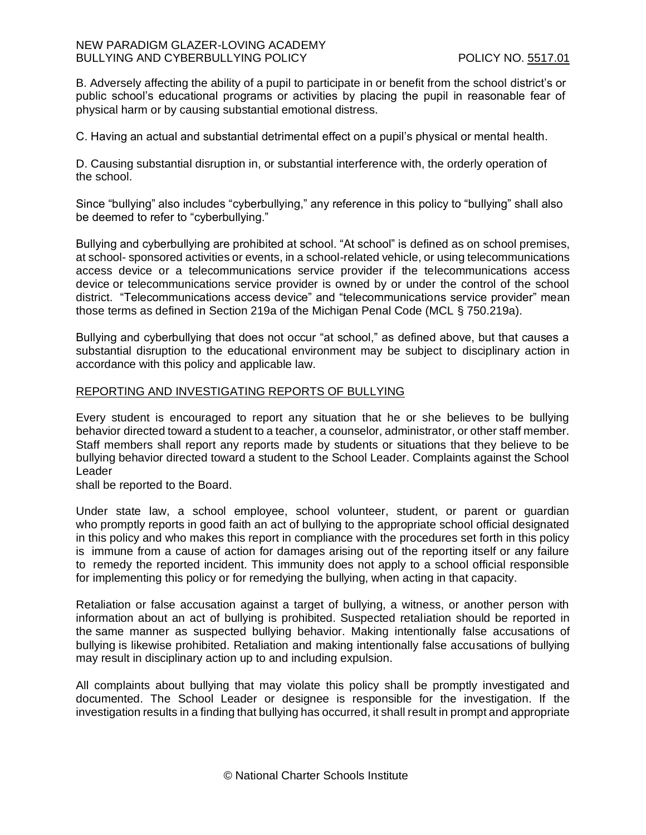B. Adversely affecting the ability of a pupil to participate in or benefit from the school district's or public school's educational programs or activities by placing the pupil in reasonable fear of physical harm or by causing substantial emotional distress.

C. Having an actual and substantial detrimental effect on a pupil's physical or mental health.

D. Causing substantial disruption in, or substantial interference with, the orderly operation of the school.

Since "bullying" also includes "cyberbullying," any reference in this policy to "bullying" shall also be deemed to refer to "cyberbullying."

Bullying and cyberbullying are prohibited at school. "At school" is defined as on school premises, at school- sponsored activities or events, in a school-related vehicle, or using telecommunications access device or a telecommunications service provider if the telecommunications access device or telecommunications service provider is owned by or under the control of the school district. "Telecommunications access device" and "telecommunications service provider" mean those terms as defined in Section 219a of the Michigan Penal Code (MCL § 750.219a).

Bullying and cyberbullying that does not occur "at school," as defined above, but that causes a substantial disruption to the educational environment may be subject to disciplinary action in accordance with this policy and applicable law.

### REPORTING AND INVESTIGATING REPORTS OF BULLYING

Every student is encouraged to report any situation that he or she believes to be bullying behavior directed toward a student to a teacher, a counselor, administrator, or other staff member. Staff members shall report any reports made by students or situations that they believe to be bullying behavior directed toward a student to the School Leader. Complaints against the School Leader

shall be reported to the Board.

Under state law, a school employee, school volunteer, student, or parent or guardian who promptly reports in good faith an act of bullying to the appropriate school official designated in this policy and who makes this report in compliance with the procedures set forth in this policy is immune from a cause of action for damages arising out of the reporting itself or any failure to remedy the reported incident. This immunity does not apply to a school official responsible for implementing this policy or for remedying the bullying, when acting in that capacity.

Retaliation or false accusation against a target of bullying, a witness, or another person with information about an act of bullying is prohibited. Suspected retaliation should be reported in the same manner as suspected bullying behavior. Making intentionally false accusations of bullying is likewise prohibited. Retaliation and making intentionally false accusations of bullying may result in disciplinary action up to and including expulsion.

All complaints about bullying that may violate this policy shall be promptly investigated and documented. The School Leader or designee is responsible for the investigation. If the investigation results in a finding that bullying has occurred, it shall result in prompt and appropriate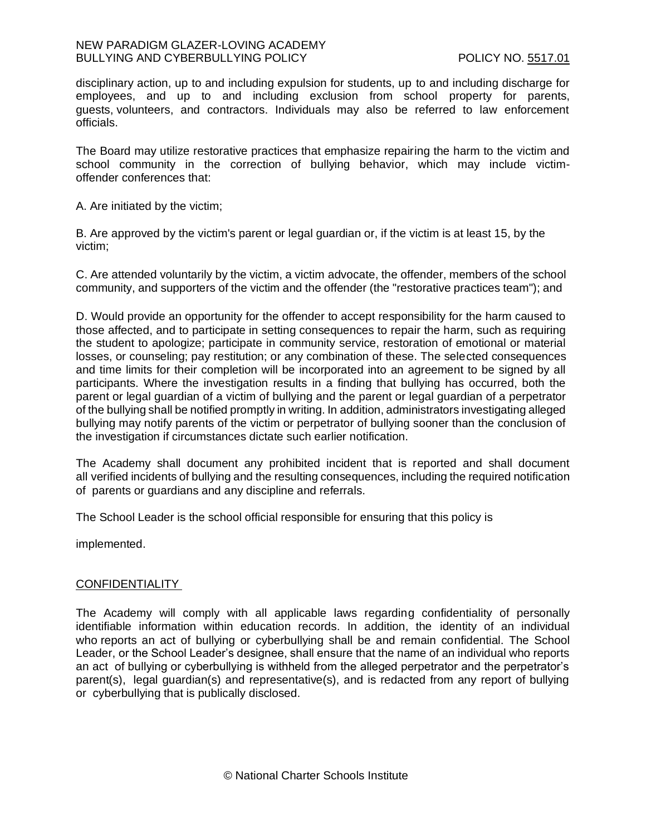disciplinary action, up to and including expulsion for students, up to and including discharge for employees, and up to and including exclusion from school property for parents, guests, volunteers, and contractors. Individuals may also be referred to law enforcement officials.

The Board may utilize restorative practices that emphasize repairing the harm to the victim and school community in the correction of bullying behavior, which may include victimoffender conferences that:

A. Are initiated by the victim;

B. Are approved by the victim's parent or legal guardian or, if the victim is at least 15, by the victim;

C. Are attended voluntarily by the victim, a victim advocate, the offender, members of the school community, and supporters of the victim and the offender (the "restorative practices team"); and

D. Would provide an opportunity for the offender to accept responsibility for the harm caused to those affected, and to participate in setting consequences to repair the harm, such as requiring the student to apologize; participate in community service, restoration of emotional or material losses, or counseling; pay restitution; or any combination of these. The selected consequences and time limits for their completion will be incorporated into an agreement to be signed by all participants. Where the investigation results in a finding that bullying has occurred, both the parent or legal guardian of a victim of bullying and the parent or legal guardian of a perpetrator of the bullying shall be notified promptly in writing. In addition, administrators investigating alleged bullying may notify parents of the victim or perpetrator of bullying sooner than the conclusion of the investigation if circumstances dictate such earlier notification.

The Academy shall document any prohibited incident that is reported and shall document all verified incidents of bullying and the resulting consequences, including the required notification of parents or guardians and any discipline and referrals.

The School Leader is the school official responsible for ensuring that this policy is

implemented.

### **CONFIDENTIALITY**

The Academy will comply with all applicable laws regarding confidentiality of personally identifiable information within education records. In addition, the identity of an individual who reports an act of bullying or cyberbullying shall be and remain confidential. The School Leader, or the School Leader's designee, shall ensure that the name of an individual who reports an act of bullying or cyberbullying is withheld from the alleged perpetrator and the perpetrator's parent(s), legal guardian(s) and representative(s), and is redacted from any report of bullying or cyberbullying that is publically disclosed.